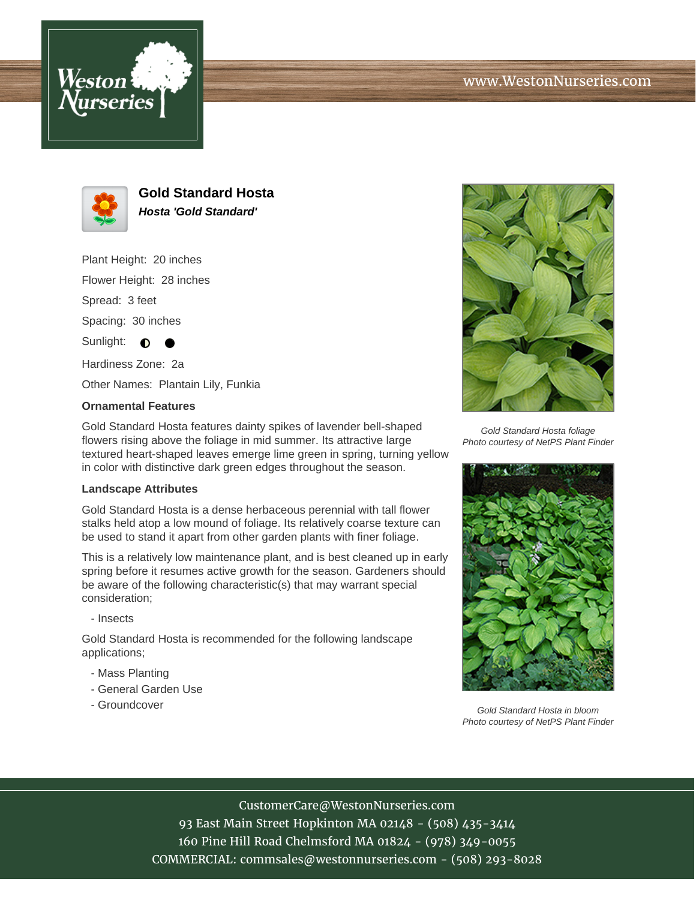





**Gold Standard Hosta Hosta 'Gold Standard'**

Plant Height: 20 inches

Flower Height: 28 inches

Spread: 3 feet

Spacing: 30 inches

Sunlight:  $\bigcirc$ 

Hardiness Zone: 2a

Other Names: Plantain Lily, Funkia

## **Ornamental Features**

Gold Standard Hosta features dainty spikes of lavender bell-shaped flowers rising above the foliage in mid summer. Its attractive large textured heart-shaped leaves emerge lime green in spring, turning yellow in color with distinctive dark green edges throughout the season.

## **Landscape Attributes**

Gold Standard Hosta is a dense herbaceous perennial with tall flower stalks held atop a low mound of foliage. Its relatively coarse texture can be used to stand it apart from other garden plants with finer foliage.

This is a relatively low maintenance plant, and is best cleaned up in early spring before it resumes active growth for the season. Gardeners should be aware of the following characteristic(s) that may warrant special consideration;

- Insects

Gold Standard Hosta is recommended for the following landscape applications;

- Mass Planting
- General Garden Use
- Groundcover



Gold Standard Hosta foliage Photo courtesy of NetPS Plant Finder



Gold Standard Hosta in bloom Photo courtesy of NetPS Plant Finder

CustomerCare@WestonNurseries.com

93 East Main Street Hopkinton MA 02148 - (508) 435-3414 160 Pine Hill Road Chelmsford MA 01824 - (978) 349-0055 COMMERCIAL: commsales@westonnurseries.com - (508) 293-8028